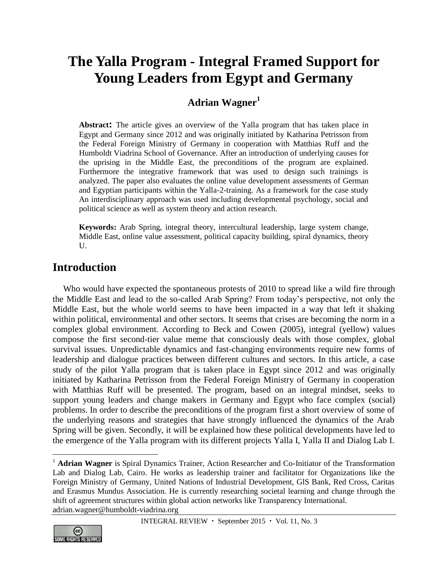# **The Yalla Program - Integral Framed Support for Young Leaders from Egypt and Germany**

#### **Adrian Wagner<sup>1</sup>**

**Abstract:** The article gives an overview of the Yalla program that has taken place in Egypt and Germany since 2012 and was originally initiated by Katharina Petrisson from the Federal Foreign Ministry of Germany in cooperation with Matthias Ruff and the Humboldt Viadrina School of Governance. After an introduction of underlying causes for the uprising in the Middle East, the preconditions of the program are explained. Furthermore the integrative framework that was used to design such trainings is analyzed. The paper also evaluates the online value development assessments of German and Egyptian participants within the Yalla-2-training. As a framework for the case study An interdisciplinary approach was used including developmental psychology, social and political science as well as system theory and action research.

**Keywords:** Arab Spring, integral theory, intercultural leadership, large system change, Middle East, online value assessment, political capacity building, spiral dynamics, theory U.

#### **Introduction**

Who would have expected the spontaneous protests of 2010 to spread like a wild fire through the Middle East and lead to the so-called Arab Spring? From today's perspective, not only the Middle East, but the whole world seems to have been impacted in a way that left it shaking within political, environmental and other sectors. It seems that crises are becoming the norm in a complex global environment. According to Beck and Cowen (2005), integral (yellow) values compose the first second-tier value meme that consciously deals with those complex, global survival issues. Unpredictable dynamics and fast-changing environments require new forms of leadership and dialogue practices between different cultures and sectors. In this article, a case study of the pilot Yalla program that is taken place in Egypt since 2012 and was originally initiated by Katharina Petrisson from the Federal Foreign Ministry of Germany in cooperation with Matthias Ruff will be presented. The program, based on an integral mindset, seeks to support young leaders and change makers in Germany and Egypt who face complex (social) problems. In order to describe the preconditions of the program first a short overview of some of the underlying reasons and strategies that have strongly influenced the dynamics of the Arab Spring will be given. Secondly, it will be explained how these political developments have led to the emergence of the Yalla program with its different projects Yalla I, Yalla II and Dialog Lab I.

<sup>&</sup>lt;sup>1</sup> **Adrian Wagner** is Spiral Dynamics Trainer, Action Researcher and Co-Initiator of the Transformation Lab and Dialog Lab, Cairo. He works as leadership trainer and facilitator for Organizations like the Foreign Ministry of Germany, United Nations of Industrial Development, GlS Bank, Red Cross, Caritas and Erasmus Mundus Association. He is currently researching societal learning and change through the shift of agreement structures within global action networks like Transparency International. [adrian.wagner@humboldt-viadrina.org](mailto:adrian.wagner@humboldt-viadrina.org) 

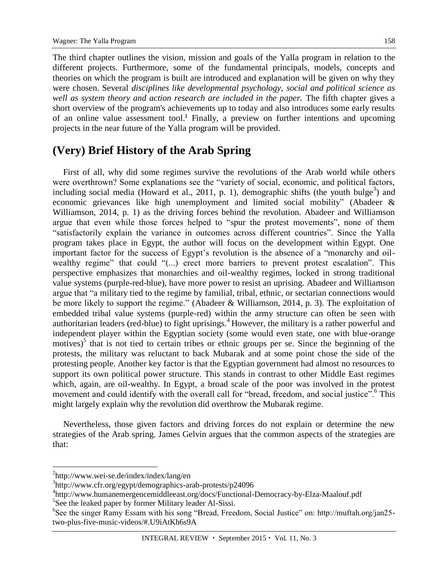The third chapter outlines the vision, mission and goals of the Yalla program in relation to the different projects. Furthermore, some of the fundamental principals, models, concepts and theories on which the program is built are introduced and explanation will be given on why they were chosen. Several *disciplines like developmental psychology, social and political science as well as system theory and action research are included in the paper.* The fifth chapter gives a short overview of the program's achievements up to today and also introduces some early results of an online value assessment tool.**<sup>2</sup>** Finally, a preview on further intentions and upcoming projects in the near future of the Yalla program will be provided.

#### **(Very) Brief History of the Arab Spring**

First of all, why did some regimes survive the revolutions of the Arab world while others were overthrown? Some explanations see the "variety of social, economic, and political factors, including social media (Howard et al., 2011, p. 1), demographic shifts (the youth bulge<sup>3</sup>) and economic grievances like high unemployment and limited social mobility" (Abadeer & Williamson, 2014, p. 1) as the driving forces behind the revolution. Abadeer and Williamson argue that even while those forces helped to "spur the protest movements", none of them "satisfactorily explain the variance in outcomes across different countries". Since the Yalla program takes place in Egypt, the author will focus on the development within Egypt. One important factor for the success of Egypt's revolution is the absence of a "monarchy and oilwealthy regime" that could "(...) erect more barriers to prevent protest escalation". This perspective emphasizes that monarchies and oil-wealthy regimes, locked in strong traditional value systems (purple-red-blue), have more power to resist an uprising. Abadeer and Williamson argue that "a military tied to the regime by familial, tribal, ethnic, or sectarian connections would be more likely to support the regime." (Abadeer & Williamson, 2014, p. 3). The exploitation of embedded tribal value systems (purple-red) within the army structure can often be seen with authoritarian leaders (red-blue) to fight uprisings.<sup>4</sup> However, the military is a rather powerful and independent player within the Egyptian society (some would even state, one with blue-orange motives)<sup>5</sup> that is not tied to certain tribes or ethnic groups per se. Since the beginning of the protests, the military was reluctant to back Mubarak and at some point chose the side of the protesting people. Another key factor is that the Egyptian government had almost no resources to support its own political power structure. This stands in contrast to other Middle East regimes which, again, are oil-wealthy. In Egypt, a broad scale of the poor was involved in the protest movement and could identify with the overall call for "bread, freedom, and social justice".<sup>6</sup> This might largely explain why the revolution did overthrow the Mubarak regime.

Nevertheless, those given factors and driving forces do not explain or determine the new strategies of the Arab spring. James Gelvin argues that the common aspects of the strategies are that:

<sup>&</sup>lt;sup>2</sup>http://www.wei-se.de/index/index/lang/en

<sup>3</sup> http://www.cfr.org/egypt/demographics-arab-protests/p24096

<sup>4</sup> http://www.humanemergencemiddleeast.org/docs/Functional-Democracy-by-Elza-Maalouf.pdf

<sup>&</sup>lt;sup>5</sup>See the leaked paper by former Military leader Al-Sissi.

<sup>6</sup> See the singer Ramy Essam with his song "Bread, Freedom, Social Justice" on: http://muftah.org/jan25 two-plus-five-music-videos/#.U9iAtKh6s9A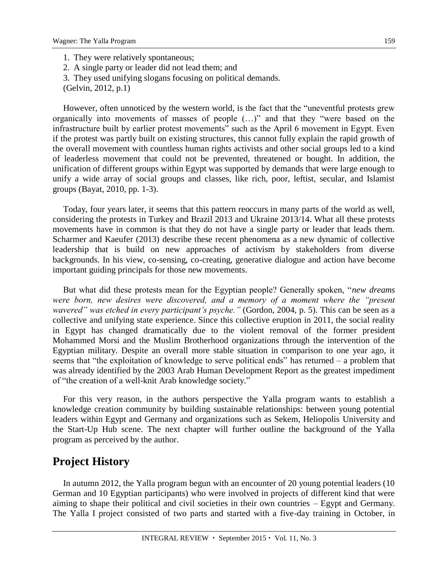- 1. They were relatively spontaneous;
- 2. A single party or leader did not lead them; and
- 3. They used unifying slogans focusing on political demands.
- (Gelvin, 2012, p.1)

However, often unnoticed by the western world, is the fact that the "uneventful protests grew organically into movements of masses of people (…)" and that they "were based on the infrastructure built by earlier protest movements" such as the April 6 movement in Egypt. Even if the protest was partly built on existing structures, this cannot fully explain the rapid growth of the overall movement with countless human rights activists and other social groups led to a kind of leaderless movement that could not be prevented, threatened or bought. In addition, the unification of different groups within Egypt was supported by demands that were large enough to unify a wide array of social groups and classes, like rich, poor, leftist, secular, and Islamist groups (Bayat, 2010, pp. 1-3).

Today, four years later, it seems that this pattern reoccurs in many parts of the world as well, considering the protests in Turkey and Brazil 2013 and Ukraine 2013/14. What all these protests movements have in common is that they do not have a single party or leader that leads them. Scharmer and Kaeufer (2013) describe these recent phenomena as a new dynamic of collective leadership that is build on new approaches of activism by stakeholders from diverse backgrounds. In his view, co-sensing, co-creating, generative dialogue and action have become important guiding principals for those new movements.

But what did these protests mean for the Egyptian people? Generally spoken, "*new dreams were born, new desires were discovered, and a memory of a moment where the "present wavered" was etched in every participant's psyche."* (Gordon, 2004, p. 5). This can be seen as a collective and unifying state experience. Since this collective eruption in 2011, the social reality in Egypt has changed dramatically due to the violent removal of the former president Mohammed Morsi and the Muslim Brotherhood organizations through the intervention of the Egyptian military. Despite an overall more stable situation in comparison to one year ago, it seems that "the exploitation of knowledge to serve political ends" has returned – a problem that was already identified by the [2003 Arab Human Development Report](http://www.arab-hdr.org/publications/other/ahdr/ahdr2003e.pdf) as the greatest impediment of "the creation of a well-knit Arab knowledge society."

For this very reason, in the authors perspective the Yalla program wants to establish a knowledge creation community by building sustainable relationships: between young potential leaders within Egypt and Germany and organizations such as Sekem, Heliopolis University and the Start-Up Hub scene. The next chapter will further outline the background of the Yalla program as perceived by the author.

#### **Project History**

In autumn 2012, the Yalla program begun with an encounter of 20 young potential leaders (10 German and 10 Egyptian participants) who were involved in projects of different kind that were aiming to shape their political and civil societies in their own countries – Egypt and Germany. The Yalla I project consisted of two parts and started with a five-day training in October, in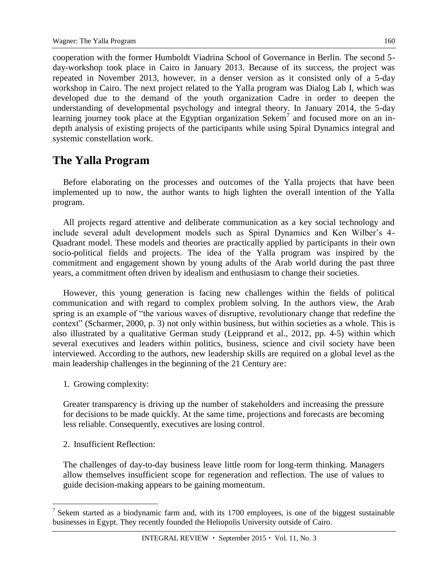cooperation with the former Humboldt Viadrina School of Governance in Berlin. The second 5 day-workshop took place in Cairo in January 2013. Because of its success, the project was repeated in November 2013, however, in a denser version as it consisted only of a 5-day workshop in Cairo. The next project related to the Yalla program was Dialog Lab I, which was developed due to the demand of the youth organization Cadre in order to deepen the understanding of developmental psychology and integral theory. In January 2014, the 5-day learning journey took place at the Egyptian organization Sekem<sup>7</sup> and focused more on an indepth analysis of existing projects of the participants while using Spiral Dynamics integral and systemic constellation work.

## **The Yalla Program**

Before elaborating on the processes and outcomes of the Yalla projects that have been implemented up to now, the author wants to high lighten the overall intention of the Yalla program.

All projects regard attentive and deliberate communication as a key social technology and include several adult development models such as Spiral Dynamics and Ken Wilber's 4- Quadrant model. These models and theories are practically applied by participants in their own socio-political fields and projects. The idea of the Yalla program was inspired by the commitment and engagement shown by young adults of the Arab world during the past three years, a commitment often driven by idealism and enthusiasm to change their societies.

However, this young generation is facing new challenges within the fields of political communication and with regard to complex problem solving. In the authors view, the Arab spring is an example of "the various waves of disruptive, revolutionary change that redefine the context" (Scharmer, 2000, p. 3) not only within business, but within societies as a whole. This is also illustrated by a qualitative German study (Leipprand et al., 2012, pp. 4-5) within which several executives and leaders within politics, business, science and civil society have been interviewed. According to the authors, new leadership skills are required on a global level as the main leadership challenges in the beginning of the 21 Century are:

1. Growing complexity:

Greater transparency is driving up the number of stakeholders and increasing the pressure for decisions to be made quickly. At the same time, projections and forecasts are becoming less reliable. Consequently, executives are losing control.

2. Insufficient Reflection:

 $\overline{a}$ 

The challenges of day-to-day business leave little room for long-term thinking. Managers allow themselves insufficient scope for regeneration and reflection. The use of values to guide decision-making appears to be gaining momentum.

<sup>&</sup>lt;sup>7</sup> Sekem started as a biodynamic farm and, with its  $1700$  employees, is one of the biggest sustainable businesses in Egypt. They recently founded the Heliopolis University outside of Cairo.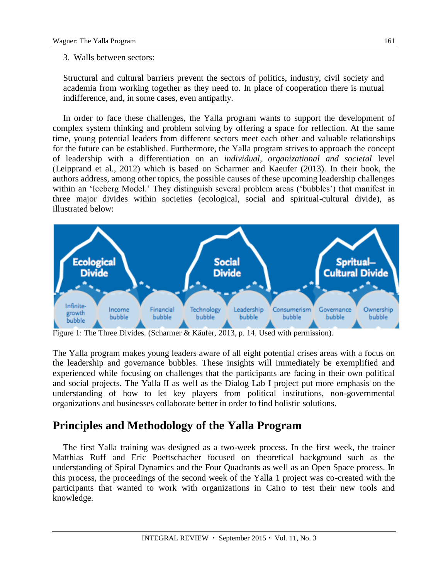#### 3. Walls between sectors:

Structural and cultural barriers prevent the sectors of politics, industry, civil society and academia from working together as they need to. In place of cooperation there is mutual indifference, and, in some cases, even antipathy.

In order to face these challenges, the Yalla program wants to support the development of complex system thinking and problem solving by offering a space for reflection. At the same time, young potential leaders from different sectors meet each other and valuable relationships for the future can be established. Furthermore, the Yalla program strives to approach the concept of leadership with a differentiation on an *individual, organizational and societal* level (Leipprand et al., 2012) which is based on Scharmer and Kaeufer (2013). In their book, the authors address, among other topics, the possible causes of these upcoming leadership challenges within an 'Iceberg Model.' They distinguish several problem areas ('bubbles') that manifest in three major divides within societies (ecological, social and spiritual-cultural divide), as illustrated below:



Figure 1: The Three Divides. (Scharmer & Käufer, 2013, p. 14. Used with permission).

The Yalla program makes young leaders aware of all eight potential crises areas with a focus on the leadership and governance bubbles. These insights will immediately be exemplified and experienced while focusing on challenges that the participants are facing in their own political and social projects. The Yalla II as well as the Dialog Lab I project put more emphasis on the understanding of how to let key players from political institutions, non-governmental organizations and businesses collaborate better in order to find holistic solutions.

## **Principles and Methodology of the Yalla Program**

The first Yalla training was designed as a two-week process. In the first week, the trainer Matthias Ruff and Eric Poettschacher focused on theoretical background such as the understanding of Spiral Dynamics and the Four Quadrants as well as an Open Space process. In this process, the proceedings of the second week of the Yalla 1 project was co-created with the participants that wanted to work with organizations in Cairo to test their new tools and knowledge.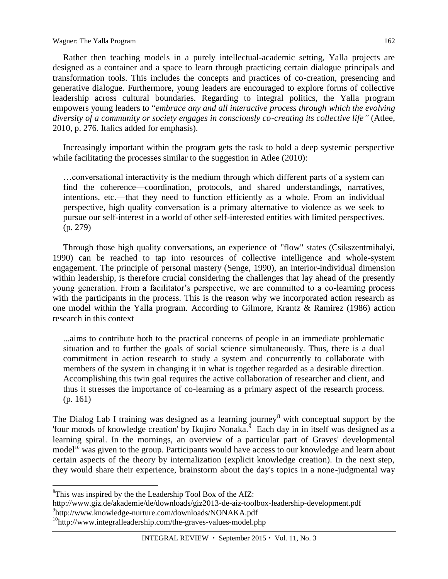Rather then teaching models in a purely intellectual-academic setting, Yalla projects are designed as a container and a space to learn through practicing certain dialogue principals and transformation tools. This includes the concepts and practices of co-creation, presencing and generative dialogue. Furthermore, young leaders are encouraged to explore forms of collective leadership across cultural boundaries. Regarding to integral politics, the Yalla program empowers young leaders to "*embrace any and all interactive process through which the evolving diversity of a community or society engages in consciously co-creating its collective life"* (Atlee, 2010, p. 276. Italics added for emphasis).

Increasingly important within the program gets the task to hold a deep systemic perspective while facilitating the processes similar to the suggestion in Atlee (2010):

…conversational interactivity is the medium through which different parts of a system can find the coherence—coordination, protocols, and shared understandings, narratives, intentions, etc.—that they need to function efficiently as a whole. From an individual perspective, high quality conversation is a primary alternative to violence as we seek to pursue our self-interest in a world of other self-interested entities with limited perspectives. (p. 279)

Through those high quality conversations, an experience of "flow" states (Csikszentmihalyi, 1990) can be reached to tap into resources of collective intelligence and whole-system engagement. The principle of personal mastery (Senge, 1990), an interior-individual dimension within leadership, is therefore crucial considering the challenges that lay ahead of the presently young generation. From a facilitator's perspective, we are committed to a co-learning process with the participants in the process. This is the reason why we incorporated action research as one model within the Yalla program. According to Gilmore, Krantz & Ramirez (1986) action research in this context

...aims to contribute both to the practical concerns of people in an immediate problematic situation and to further the goals of social science simultaneously. Thus, there is a dual commitment in action research to study a system and concurrently to collaborate with members of the system in changing it in what is together regarded as a desirable direction. Accomplishing this twin goal requires the active collaboration of researcher and client, and thus it stresses the importance of co-learning as a primary aspect of the research process. (p. 161)

The Dialog Lab I training was designed as a learning journey<sup>8</sup> with conceptual support by the 'four moods of knowledge creation' by Ikujiro Nonaka.<sup> $\delta$ </sup> Each day in in itself was designed as a learning spiral. In the mornings, an overview of a particular part of Graves' developmental model<sup>10</sup> was given to the group. Participants would have access to our knowledge and learn about certain aspects of the theory by internalization (explicit knowledge creation). In the next step, they would share their experience, brainstorm about the day's topics in a none-judgmental way

 ${}^{8}$ This was inspired by the the Leadership Tool Box of the AIZ:

http://www.giz.de/akademie/de/downloads/giz2013-de-aiz-toolbox-leadership-development.pdf

<sup>9</sup> http://www.knowledge-nurture.com/downloads/NONAKA.pdf

<sup>&</sup>lt;sup>10</sup>http://www.integralleadership.com/the-graves-values-model.php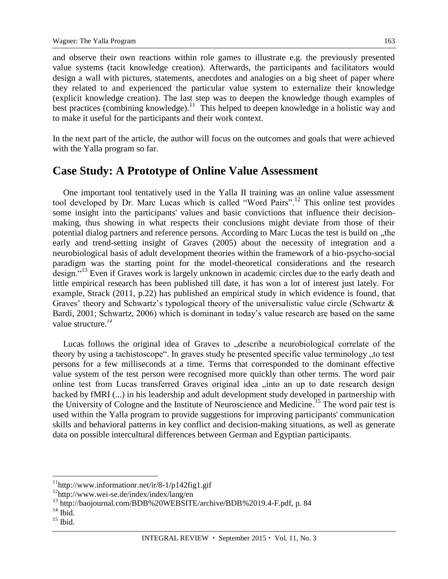and observe their own reactions within role games to illustrate e.g. the previously presented value systems (tacit knowledge creation). Afterwards, the participants and facilitators would design a wall with pictures, statements, anecdotes and analogies on a big sheet of paper where they related to and experienced the particular value system to externalize their knowledge (explicit knowledge creation). The last step was to deepen the knowledge though examples of best practices (combining knowledge).<sup>11</sup> This helped to deepen knowledge in a holistic way and to make it useful for the participants and their work context.

In the next part of the article, the author will focus on the outcomes and goals that were achieved with the Yalla program so far.

#### **Case Study: A Prototype of Online Value Assessment**

One important tool tentatively used in the Yalla II training was an online value assessment tool developed by Dr. Marc Lucas which is called "Word Pairs".<sup>12</sup> This online test provides some insight into the participants' values and basic convictions that influence their decisionmaking, thus showing in what respects their conclusions might deviate from those of their potential dialog partners and reference persons. According to Marc Lucas the test is build on "the early and trend-setting insight of Graves (2005) about the necessity of integration and a neurobiological basis of adult development theories within the framework of a bio-psycho-social paradigm was the starting point for the model-theoretical considerations and the research design."<sup>13</sup> Even if Graves work is largely unknown in academic circles due to the early death and little empirical research has been published till date, it has won a lot of interest just lately. For example, Strack (2011, p.22) has published an empirical study in which evidence is found, that Graves' theory and Schwartz's typological theory of the universalistic value circle (Schwartz & Bardi, 2001; Schwartz, 2006) which is dominant in today's value research are based on the same value structure.*<sup>14</sup>*

Lucas follows the original idea of Graves to "describe a neurobiological correlate of the theory by using a tachistoscope". In graves study he presented specific value terminology "to test persons for a few milliseconds at a time. Terms that corresponded to the dominant effective value system of the test person were recognised more quickly than other terms. The word pair online test from Lucas transferred Graves original idea "into an up to date research design backed by fMRI (...) in his leadership and adult development study developed in partnership with the University of Cologne and the Institute of Neuroscience and Medicine.<sup>15</sup> The word pair test is used within the Yalla program to provide suggestions for improving participants' communication skills and behavioral patterns in key conflict and decision-making situations, as well as generate data on possible intercultural differences between German and Egyptian participants.

 $11$ http://www.informationr.net/ir/8-1/p142fig1.gif

<sup>12</sup>http://www.wei-se.de/index/index/lang/en

<sup>&</sup>lt;sup>13</sup> [http://baojournal.com/BDB%20WEBSITE/archive/BDB%2019.4-F.pdf,](http://baojournal.com/BDB%20WEBSITE/archive/BDB%2019.4-F.pdf) p. 84

 $^{14}$  Ibid.

 $^{15}$  Ibid.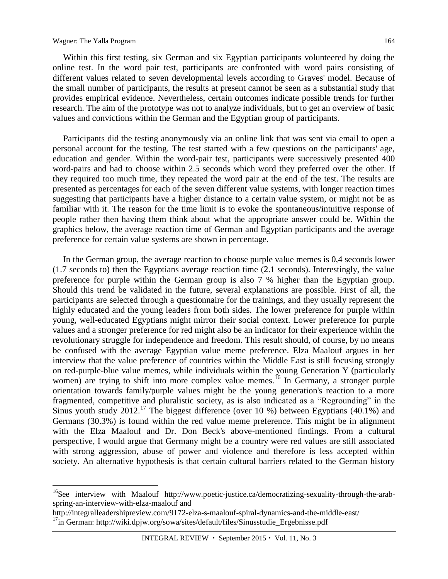$\overline{a}$ 

Within this first testing, six German and six Egyptian participants volunteered by doing the online test. In the word pair test, participants are confronted with word pairs consisting of different values related to seven developmental levels according to Graves' model. Because of the small number of participants, the results at present cannot be seen as a substantial study that provides empirical evidence. Nevertheless, certain outcomes indicate possible trends for further research. The aim of the prototype was not to analyze individuals, but to get an overview of basic values and convictions within the German and the Egyptian group of participants.

Participants did the testing anonymously via an online link that was sent via email to open a personal account for the testing. The test started with a few questions on the participants' age, education and gender. Within the word-pair test, participants were successively presented 400 word-pairs and had to choose within 2.5 seconds which word they preferred over the other. If they required too much time, they repeated the word pair at the end of the test. The results are presented as percentages for each of the seven different value systems, with longer reaction times suggesting that participants have a higher distance to a certain value system, or might not be as familiar with it. The reason for the time limit is to evoke the spontaneous/intuitive response of people rather then having them think about what the appropriate answer could be. Within the graphics below, the average reaction time of German and Egyptian participants and the average preference for certain value systems are shown in percentage.

In the German group, the average reaction to choose purple value memes is 0,4 seconds lower (1.7 seconds to) then the Egyptians average reaction time (2.1 seconds). Interestingly, the value preference for purple within the German group is also 7 % higher than the Egyptian group. Should this trend be validated in the future, several explanations are possible. First of all, the participants are selected through a questionnaire for the trainings, and they usually represent the highly educated and the young leaders from both sides. The lower preference for purple within young, well-educated Egyptians might mirror their social context. Lower preference for purple values and a stronger preference for red might also be an indicator for their experience within the revolutionary struggle for independence and freedom. This result should, of course, by no means be confused with the average Egyptian value meme preference. Elza Maalouf argues in her interview that the value preference of countries within the Middle East is still focusing strongly on red-purple-blue value memes, while individuals within the young Generation Y (particularly women) are trying to shift into more complex value memes.<sup>16</sup> In Germany, a stronger purple orientation towards family/purple values might be the young generation's reaction to a more fragmented, competitive and pluralistic society, as is also indicated as a "Regrounding" in the Sinus youth study  $2012<sup>17</sup>$ . The biggest difference (over 10 %) between Egyptians (40.1%) and Germans (30.3%) is found within the red value meme preference. This might be in alignment with the Elza Maalouf and Dr. Don Beck's above-mentioned findings. From a cultural perspective, I would argue that Germany might be a country were red values are still associated with strong aggression, abuse of power and violence and therefore is less accepted within society. An alternative hypothesis is that certain cultural barriers related to the German history

<sup>&</sup>lt;sup>16</sup>See interview with Maalouf [http://www.poetic-justice.ca/democratizing-sexuality-through-the-arab](http://www.poetic-justice.ca/democratizing-sexuality-through-the-arab-spring-an-interview-with-elza-maalouf)[spring-an-interview-with-elza-maalouf](http://www.poetic-justice.ca/democratizing-sexuality-through-the-arab-spring-an-interview-with-elza-maalouf) and

<http://integralleadershipreview.com/9172-elza-s-maalouf-spiral-dynamics-and-the-middle-east/>

<sup>&</sup>lt;sup>17</sup>in German: http://wiki.dpjw.org/sowa/sites/default/files/Sinusstudie\_Ergebnisse.pdf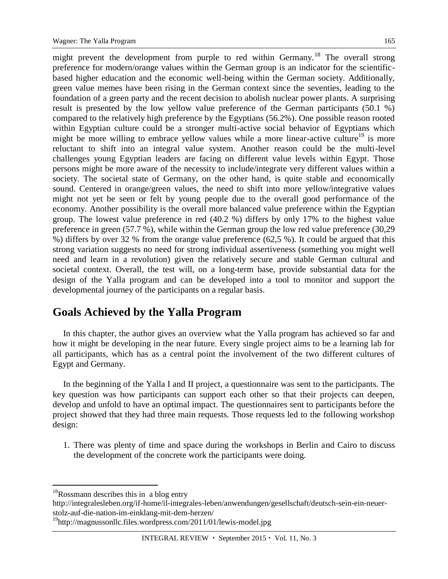might prevent the development from purple to red within Germany.<sup>18</sup> The overall strong preference for modern/orange values within the German group is an indicator for the scientificbased higher education and the economic well-being within the German society. Additionally, green value memes have been rising in the German context since the seventies, leading to the foundation of a green party and the recent decision to abolish nuclear power plants. A surprising result is presented by the low yellow value preference of the German participants (50.1 %) compared to the relatively high preference by the Egyptians (56.2%). One possible reason rooted within Egyptian culture could be a stronger multi-active social behavior of Egyptians which might be more willing to embrace yellow values while a more linear-active culture<sup>19</sup> is more reluctant to shift into an integral value system. Another reason could be the multi-level challenges young Egyptian leaders are facing on different value levels within Egypt. Those persons might be more aware of the necessity to include/integrate very different values within a society. The societal state of Germany, on the other hand, is quite stable and economically sound. Centered in orange/green values, the need to shift into more yellow/integrative values might not yet be seen or felt by young people due to the overall good performance of the economy. Another possibility is the overall more balanced value preference within the Egyptian group. The lowest value preference in red (40.2 %) differs by only 17% to the highest value preference in green (57.7 %), while within the German group the low red value preference (30,29 %) differs by over 32 % from the orange value preference (62,5 %). It could be argued that this strong variation suggests no need for strong individual assertiveness (something you might well need and learn in a revolution) given the relatively secure and stable German cultural and societal context. Overall, the test will, on a long-term base, provide substantial data for the design of the Yalla program and can be developed into a tool to monitor and support the developmental journey of the participants on a regular basis.

## **Goals Achieved by the Yalla Program**

In this chapter, the author gives an overview what the Yalla program has achieved so far and how it might be developing in the near future. Every single project aims to be a learning lab for all participants, which has as a central point the involvement of the two different cultures of Egypt and Germany.

In the beginning of the Yalla I and II project, a questionnaire was sent to the participants. The key question was how participants can support each other so that their projects can deepen, develop and unfold to have an optimal impact. The questionnaires sent to participants before the project showed that they had three main requests. Those requests led to the following workshop design:

1. There was plenty of time and space during the workshops in Berlin and Cairo to discuss the development of the concrete work the participants were doing.

 $18R$ ossmann describes this in a blog entry

http://integralesleben.org/if-home/il-integrales-leben/anwendungen/gesellschaft/deutsch-sein-ein-neuerstolz-auf-die-nation-im-einklang-mit-dem-herzen/

<sup>&</sup>lt;sup>19</sup>http://magnussonllc.files.wordpress.com/2011/01/lewis-model.jpg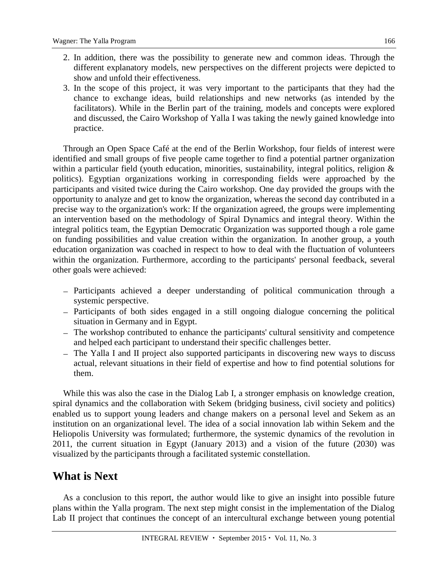- 2. In addition, there was the possibility to generate new and common ideas. Through the different explanatory models, new perspectives on the different projects were depicted to show and unfold their effectiveness.
- 3. In the scope of this project, it was very important to the participants that they had the chance to exchange ideas, build relationships and new networks (as intended by the facilitators). While in the Berlin part of the training, models and concepts were explored and discussed, the Cairo Workshop of Yalla I was taking the newly gained knowledge into practice.

Through an Open Space Café at the end of the Berlin Workshop, four fields of interest were identified and small groups of five people came together to find a potential partner organization within a particular field (youth education, minorities, sustainability, integral politics, religion & politics). Egyptian organizations working in corresponding fields were approached by the participants and visited twice during the Cairo workshop. One day provided the groups with the opportunity to analyze and get to know the organization, whereas the second day contributed in a precise way to the organization's work: If the organization agreed, the groups were implementing an intervention based on the methodology of Spiral Dynamics and integral theory. Within the integral politics team, the Egyptian Democratic Organization was supported though a role game on funding possibilities and value creation within the organization. In another group, a youth education organization was coached in respect to how to deal with the fluctuation of volunteers within the organization. Furthermore, according to the participants' personal feedback, several other goals were achieved:

- Participants achieved a deeper understanding of political communication through a systemic perspective.
- Participants of both sides engaged in a still ongoing dialogue concerning the political situation in Germany and in Egypt.
- The workshop contributed to enhance the participants' cultural sensitivity and competence and helped each participant to understand their specific challenges better.
- The Yalla I and II project also supported participants in discovering new ways to discuss actual, relevant situations in their field of expertise and how to find potential solutions for them.

While this was also the case in the Dialog Lab I, a stronger emphasis on knowledge creation, spiral dynamics and the collaboration with Sekem (bridging business, civil society and politics) enabled us to support young leaders and change makers on a personal level and Sekem as an institution on an organizational level. The idea of a social innovation lab within Sekem and the Heliopolis University was formulated; furthermore, the systemic dynamics of the revolution in 2011, the current situation in Egypt (January 2013) and a vision of the future (2030) was visualized by the participants through a facilitated systemic constellation.

#### **What is Next**

As a conclusion to this report, the author would like to give an insight into possible future plans within the Yalla program. The next step might consist in the implementation of the Dialog Lab II project that continues the concept of an intercultural exchange between young potential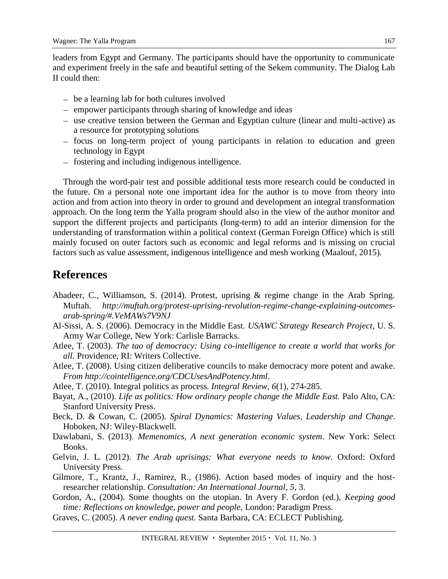leaders from Egypt and Germany. The participants should have the opportunity to communicate and experiment freely in the safe and beautiful setting of the Sekem community. The Dialog Lab II could then:

- be a learning lab for both cultures involved
- empower participants through sharing of knowledge and ideas
- use creative tension between the German and Egyptian culture (linear and multi-active) as a resource for prototyping solutions
- focus on long-term project of young participants in relation to education and green technology in Egypt
- fostering and including indigenous intelligence.

Through the word-pair test and possible additional tests more research could be conducted in the future. On a personal note one important idea for the author is to move from theory into action and from action into theory in order to ground and development an integral transformation approach. On the long term the Yalla program should also in the view of the author monitor and support the different projects and participants (long-term) to add an interior dimension for the understanding of transformation within a political context (German Foreign Office) which is still mainly focused on outer factors such as economic and legal reforms and is missing on crucial factors such as value assessment, indigenous intelligence and mesh working (Maalouf, 2015).

## **References**

- Abadeer, C., Williamson, S. (2014). Protest, uprising & regime change in the Arab Spring. Muftah. *http://muftah.org/protest-uprising-revolution-regime-change-explaining-outcomesarab-spring/#.VeMAWs7V9NJ*
- Al-Sissi, A. S. (2006). Democracy in the Middle East. *USAWC Strategy Research Project*, U. S. Army War College, New York: Carlisle Barracks.
- Atlee, T. (2003). *The tao of democracy: Using co-intelligence to create a world that works for all.* Providence, RI: Writers Collective.
- Atlee, T. (2008). Using citizen deliberative councils to make democracy more potent and awake. *From [http://cointelligence.org/CDCUsesAndPotency.html.](http://co-intelligence.org/CDCUsesAndPotency.html)*
- Atlee, T. (2010). Integral politics as process. *Integral Review, 6*(1), 274-285.
- Bayat, A., (2010). *Life as politics: How ordinary people change the Middle East.* Palo Alto, CA: Stanford University Press.
- Beck, D. & Cowan, C. (2005). *Spiral Dynamics: Mastering Values, Leadership and Change*. Hoboken, NJ: Wiley-Blackwell.
- Dawlabani, S. (2013). *Memenomics, A next generation economic system*. New York: Select Books.
- Gelvin, J. L. (2012). *The Arab uprisings: What everyone needs to know*. Oxford: Oxford University Press.
- Gilmore, T., Krantz, J., Ramirez, R., (1986). Action based modes of inquiry and the hostresearcher relationship. *Consultation: An International Journal*, *5*, 3.
- Gordon, A., (2004). Some thoughts on the utopian. In Avery F. Gordon (ed.), *Keeping good time: Reflections on knowledge, power and people*, London: Paradigm Press.
- Graves, C. (2005). *A never ending quest.* Santa Barbara, CA: ECLECT Publishing.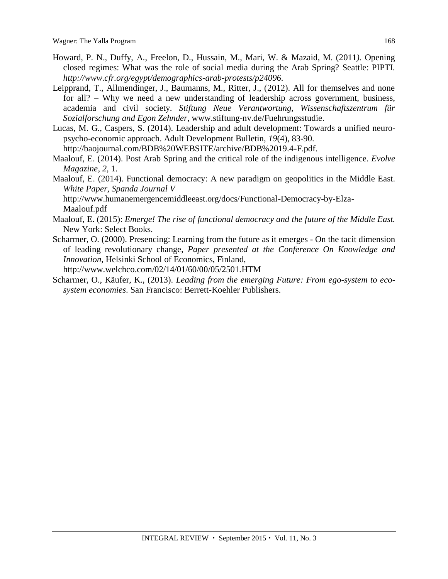- [Howard, P.](http://ictlogy.net/bibliography/reports/contacts.php?idc=567) N., [Duffy, A.,](http://ictlogy.net/bibliography/reports/contacts.php?idc=1788) [Freelon, D.,](http://ictlogy.net/bibliography/reports/contacts.php?idc=1789) [Hussain, M.,](http://ictlogy.net/bibliography/reports/contacts.php?idc=1790) [Mari, W.](http://ictlogy.net/bibliography/reports/contacts.php?idc=1791) & [Mazaid, M.](http://ictlogy.net/bibliography/reports/contacts.php?idc=1792) (2011*).* [Opening](http://ictlogy.net/bibliography/reports/projects.php?idp=2170)  [closed regimes: What was the role of social media during the Arab Spring?](http://ictlogy.net/bibliography/reports/projects.php?idp=2170) Seattle: PIPTI. *[http://www.cfr.org/egypt/demographics-arab-protests/p24096.](http://www.cfr.org/egypt/demographics-arab-protests/p24096)*
- Leipprand, T., Allmendinger, J., Baumanns, M., Ritter, J., (2012). All for themselves and none for all? – Why we need a new understanding of leadership across government, business, academia and civil society. *Stiftung Neue Verantwortung, Wissenschaftszentrum für Sozialforschung and Egon Zehnder,* [www.stiftung-nv.de/Fuehrungsstudie.](http://www.stiftung-nv.de/Fuehrungsstudie)
- Lucas, M. G., Caspers, S. (2014). Leadership and adult development: Towards a unified neuropsycho-economic approach. Adult Development Bulletin, *19*(4), 83-90.

[http://baojournal.com/BDB%20WEBSITE/archive/BDB%2019.4-F.pdf.](http://baojournal.com/BDB%20WEBSITE/archive/BDB%2019.4-F.pdf)

- Maalouf, E. (2014). Post Arab Spring and the critical role of the indigenous intelligence. *Evolve Magazine*, *2*, 1.
- Maalouf, E. (2014). Functional democracy: A new paradigm on geopolitics in the Middle East. *White Paper, Spanda Journal V*

http://www.humanemergencemiddleeast.org/docs/Functional-Democracy-by-Elza-Maalouf.pdf

- Maalouf, E. (2015): *Emerge! The rise of functional democracy and the future of the Middle East.* New York: Select Books.
- Scharmer, O. (2000). Presencing: Learning from the future as it emerges On the tacit dimension of leading revolutionary change, *Paper presented at the Conference On Knowledge and Innovation,* Helsinki School of Economics, Finland,

http://www.welchco.com/02/14/01/60/00/05/2501.HTM

Scharmer, O., Käufer, K., (2013). *Leading from the emerging Future: From ego-system to ecosystem economies*. San Francisco: Berrett-Koehler Publishers.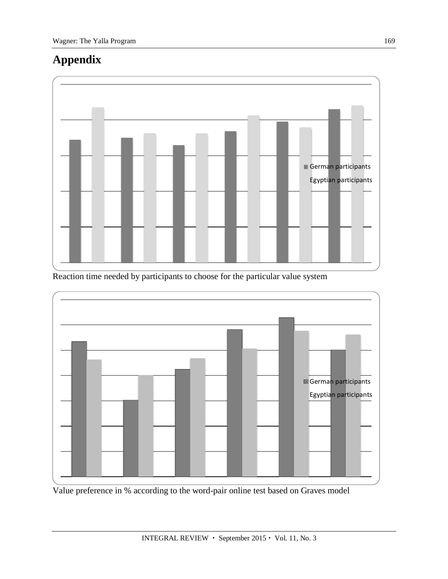# **Appendix**



Reaction time needed by participants to choose for the particular value system



Value preference in % according to the word-pair online test based on Graves model